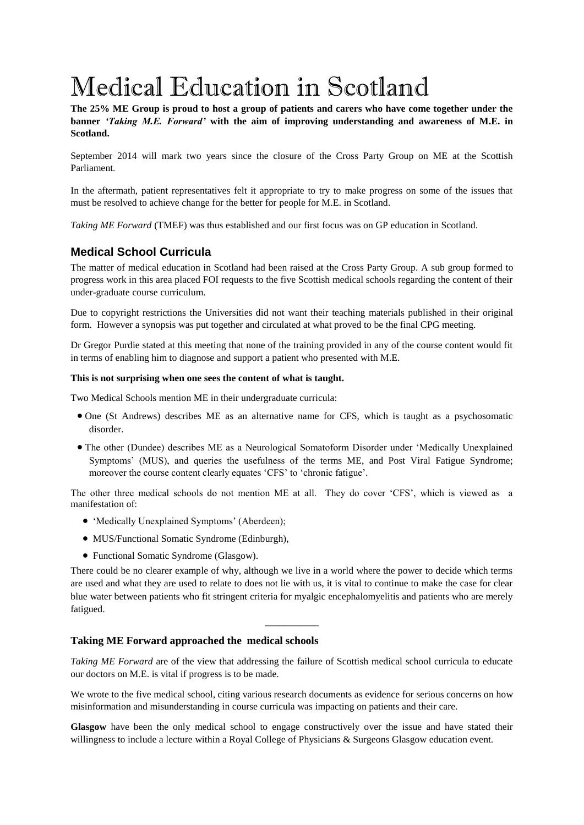# Medical Education in Scotland

**The 25% ME Group is proud to host a group of patients and carers who have come together under the banner** *'Taking M.E. Forward'* **with the aim of improving understanding and awareness of M.E. in Scotland.**

September 2014 will mark two years since the closure of the Cross Party Group on ME at the Scottish Parliament.

In the aftermath, patient representatives felt it appropriate to try to make progress on some of the issues that must be resolved to achieve change for the better for people for M.E. in Scotland.

*Taking ME Forward* (TMEF) was thus established and our first focus was on GP education in Scotland.

# **Medical School Curricula**

The matter of medical education in Scotland had been raised at the Cross Party Group. A sub group formed to progress work in this area placed FOI requests to the five Scottish medical schools regarding the content of their under-graduate course curriculum.

Due to copyright restrictions the Universities did not want their teaching materials published in their original form. However a synopsis was put together and circulated at what proved to be the final CPG meeting.

Dr Gregor Purdie stated at this meeting that none of the training provided in any of the course content would fit in terms of enabling him to diagnose and support a patient who presented with M.E.

#### **This is not surprising when one sees the content of what is taught.**

Two Medical Schools mention ME in their undergraduate curricula:

- One (St Andrews) describes ME as an alternative name for CFS, which is taught as a psychosomatic disorder.
- The other (Dundee) describes ME as a Neurological Somatoform Disorder under 'Medically Unexplained Symptoms' (MUS), and queries the usefulness of the terms ME, and Post Viral Fatigue Syndrome; moreover the course content clearly equates 'CFS' to 'chronic fatigue'.

The other three medical schools do not mention ME at all. They do cover 'CFS', which is viewed as a manifestation of:

- 'Medically Unexplained Symptoms' (Aberdeen);
- MUS/Functional Somatic Syndrome (Edinburgh),
- Functional Somatic Syndrome (Glasgow).

There could be no clearer example of why, although we live in a world where the power to decide which terms are used and what they are used to relate to does not lie with us, it is vital to continue to make the case for clear blue water between patients who fit stringent criteria for myalgic encephalomyelitis and patients who are merely fatigued.

*\_\_\_\_\_\_\_\_\_\_\_*

## **Taking ME Forward approached the medical schools**

*Taking ME Forward* are of the view that addressing the failure of Scottish medical school curricula to educate our doctors on M.E. is vital if progress is to be made.

We wrote to the five medical school, citing various research documents as evidence for serious concerns on how misinformation and misunderstanding in course curricula was impacting on patients and their care.

**Glasgow** have been the only medical school to engage constructively over the issue and have stated their willingness to include a lecture within a Royal College of Physicians & Surgeons Glasgow education event.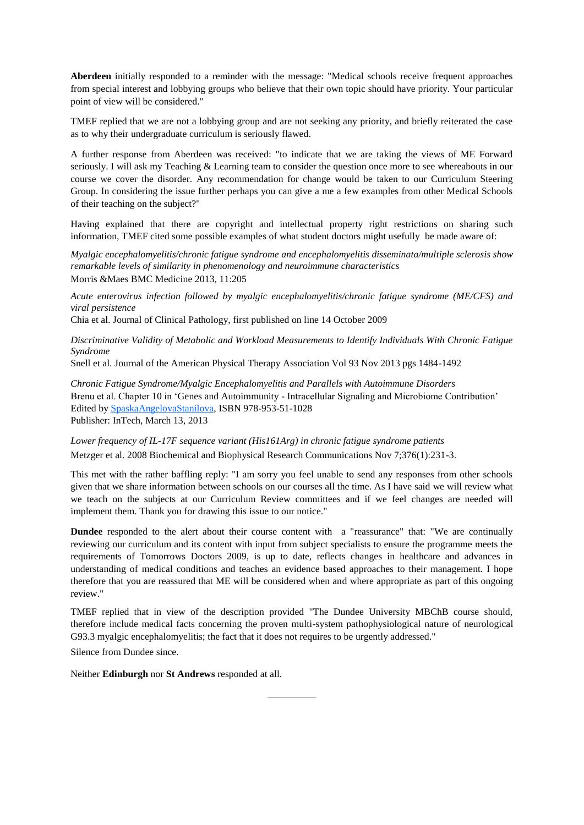**Aberdeen** initially responded to a reminder with the message: "Medical schools receive frequent approaches from special interest and lobbying groups who believe that their own topic should have priority. Your particular point of view will be considered."

TMEF replied that we are not a lobbying group and are not seeking any priority, and briefly reiterated the case as to why their undergraduate curriculum is seriously flawed.

A further response from Aberdeen was received: "to indicate that we are taking the views of ME Forward seriously. I will ask my Teaching & Learning team to consider the question once more to see whereabouts in our course we cover the disorder. Any recommendation for change would be taken to our Curriculum Steering Group. In considering the issue further perhaps you can give a me a few examples from other Medical Schools of their teaching on the subject?"

Having explained that there are copyright and intellectual property right restrictions on sharing such information, TMEF cited some possible examples of what student doctors might usefully be made aware of:

*Myalgic encephalomyelitis/chronic fatigue syndrome and encephalomyelitis disseminata/multiple sclerosis show remarkable levels of similarity in phenomenology and neuroimmune characteristics* Morris &Maes BMC Medicine 2013, 11:205

*Acute enterovirus infection followed by myalgic encephalomyelitis/chronic fatigue syndrome (ME/CFS) and viral persistence* 

Chia et al. Journal of Clinical Pathology, first published on line 14 October 2009

*Discriminative Validity of Metabolic and Workload Measurements to Identify Individuals With Chronic Fatigue Syndrome*

Snell et al. Journal of the American Physical Therapy Association Vol 93 Nov 2013 pgs 1484-1492

*Chronic Fatigue Syndrome/Myalgic Encephalomyelitis and Parallels with Autoimmune Disorders* Brenu et al. Chapter 10 in 'Genes and Autoimmunity - Intracellular Signaling and Microbiome Contribution' Edited by [SpaskaAngelovaStanilova,](http://www.intechopen.com/books/editor/genes-and-autoimmunity-intracellular-signaling-and-microbiome-contribution) ISBN 978-953-51-1028 Publisher: InTech, March 13, 2013

*Lower frequency of IL-17F sequence variant (His161Arg) in chronic fatigue syndrome patients* Metzger et al. 2008 Biochemical and Biophysical Research Communications Nov 7;376(1):231-3.

This met with the rather baffling reply: "I am sorry you feel unable to send any responses from other schools given that we share information between schools on our courses all the time. As I have said we will review what we teach on the subjects at our Curriculum Review committees and if we feel changes are needed will implement them. Thank you for drawing this issue to our notice."

**Dundee** responded to the alert about their course content with a "reassurance" that: "We are continually reviewing our curriculum and its content with input from subject specialists to ensure the programme meets the requirements of Tomorrows Doctors 2009, is up to date, reflects changes in healthcare and advances in understanding of medical conditions and teaches an evidence based approaches to their management. I hope therefore that you are reassured that ME will be considered when and where appropriate as part of this ongoing review."

TMEF replied that in view of the description provided "The Dundee University MBChB course should, therefore include medical facts concerning the proven multi-system pathophysiological nature of neurological G93.3 myalgic encephalomyelitis; the fact that it does not requires to be urgently addressed."

*\_\_\_\_\_\_\_\_\_\_\_*

Silence from Dundee since.

Neither **Edinburgh** nor **St Andrews** responded at all.